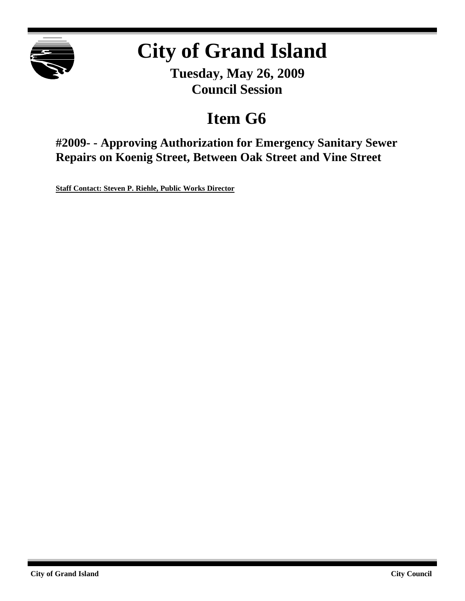

# **City of Grand Island**

**Tuesday, May 26, 2009 Council Session**

# **Item G6**

**#2009- - Approving Authorization for Emergency Sanitary Sewer Repairs on Koenig Street, Between Oak Street and Vine Street**

**Staff Contact: Steven P. Riehle, Public Works Director**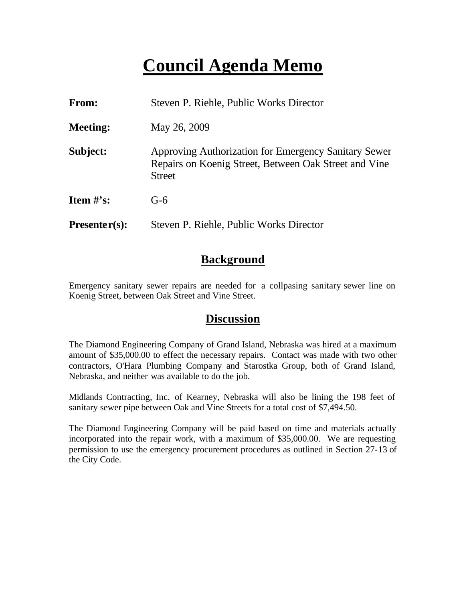# **Council Agenda Memo**

| From:           | Steven P. Riehle, Public Works Director                                                                                        |  |
|-----------------|--------------------------------------------------------------------------------------------------------------------------------|--|
| <b>Meeting:</b> | May 26, 2009                                                                                                                   |  |
| Subject:        | Approving Authorization for Emergency Sanitary Sewer<br>Repairs on Koenig Street, Between Oak Street and Vine<br><b>Street</b> |  |
| Item $\#$ 's:   | $G-6$                                                                                                                          |  |
| $Presenter(s):$ | Steven P. Riehle, Public Works Director                                                                                        |  |

### **Background**

Emergency sanitary sewer repairs are needed for a collpasing sanitary sewer line on Koenig Street, between Oak Street and Vine Street.

#### **Discussion**

The Diamond Engineering Company of Grand Island, Nebraska was hired at a maximum amount of \$35,000.00 to effect the necessary repairs. Contact was made with two other contractors, O'Hara Plumbing Company and Starostka Group, both of Grand Island, Nebraska, and neither was available to do the job.

Midlands Contracting, Inc. of Kearney, Nebraska will also be lining the 198 feet of sanitary sewer pipe between Oak and Vine Streets for a total cost of \$7,494.50.

The Diamond Engineering Company will be paid based on time and materials actually incorporated into the repair work, with a maximum of \$35,000.00. We are requesting permission to use the emergency procurement procedures as outlined in Section 27-13 of the City Code.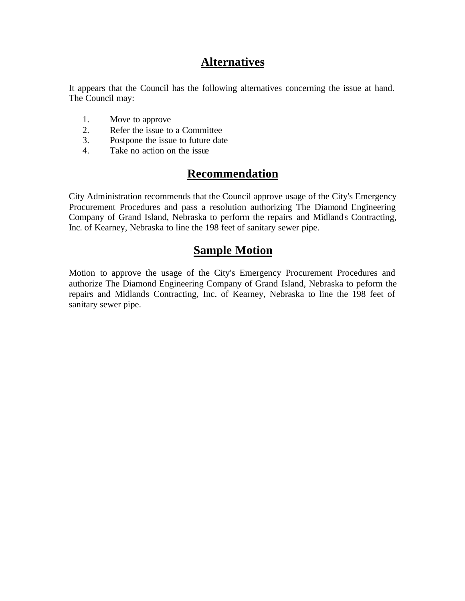## **Alternatives**

It appears that the Council has the following alternatives concerning the issue at hand. The Council may:

- 1. Move to approve
- 2. Refer the issue to a Committee
- 3. Postpone the issue to future date
- 4. Take no action on the issue

# **Recommendation**

City Administration recommends that the Council approve usage of the City's Emergency Procurement Procedures and pass a resolution authorizing The Diamond Engineering Company of Grand Island, Nebraska to perform the repairs and Midlands Contracting, Inc. of Kearney, Nebraska to line the 198 feet of sanitary sewer pipe.

### **Sample Motion**

Motion to approve the usage of the City's Emergency Procurement Procedures and authorize The Diamond Engineering Company of Grand Island, Nebraska to peform the repairs and Midlands Contracting, Inc. of Kearney, Nebraska to line the 198 feet of sanitary sewer pipe.